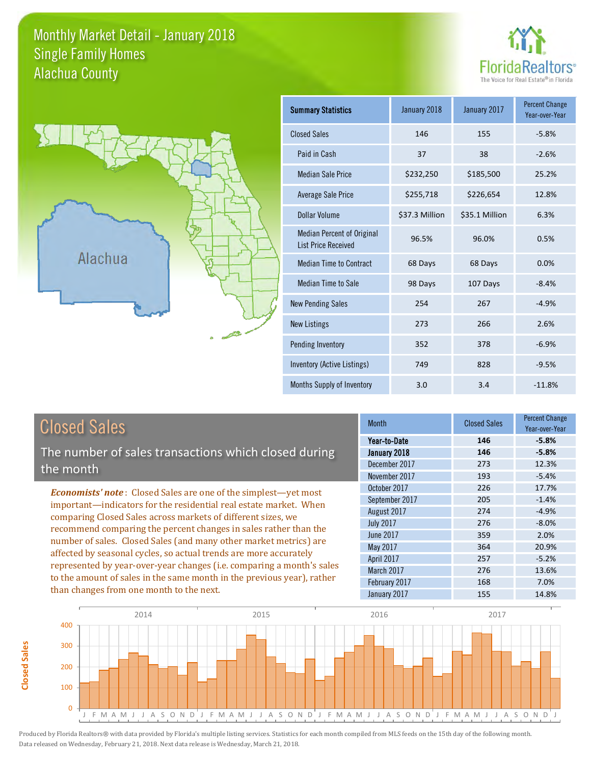### Monthly Market Detail - January 2018 Alachua County Single Family Homes





| <b>Summary Statistics</b>                                       | January 2018   | January 2017   | <b>Percent Change</b><br>Year-over-Year |
|-----------------------------------------------------------------|----------------|----------------|-----------------------------------------|
| <b>Closed Sales</b>                                             | 146            | 155            | $-5.8%$                                 |
| Paid in Cash                                                    | 37             | 38             | $-2.6%$                                 |
| <b>Median Sale Price</b>                                        | \$232,250      | \$185,500      | 25.2%                                   |
| <b>Average Sale Price</b>                                       | \$255,718      | \$226,654      | 12.8%                                   |
| Dollar Volume                                                   | \$37.3 Million | \$35.1 Million | 6.3%                                    |
| <b>Median Percent of Original</b><br><b>List Price Received</b> | 96.5%          | 96.0%          | 0.5%                                    |
| <b>Median Time to Contract</b>                                  | 68 Days        | 68 Days        | 0.0%                                    |
| Median Time to Sale                                             | 98 Days        | 107 Days       | $-8.4%$                                 |
| <b>New Pending Sales</b>                                        | 254            | 267            | $-4.9%$                                 |
| <b>New Listings</b>                                             | 273            | 266            | 2.6%                                    |
| Pending Inventory                                               | 352            | 378            | $-6.9%$                                 |
| Inventory (Active Listings)                                     | 749            | 828            | $-9.5%$                                 |
| Months Supply of Inventory                                      | 3.0            | 3.4            | $-11.8%$                                |

**Closed Sales**

Closed Sales

The number of sales transactions which closed during the month

*Economists' note* : Closed Sales are one of the simplest—yet most important—indicators for the residential real estate market. When comparing Closed Sales across markets of different sizes, we recommend comparing the percent changes in sales rather than the number of sales. Closed Sales (and many other market metrics) are affected by seasonal cycles, so actual trends are more accurately represented by year-over-year changes (i.e. comparing a month's sales to the amount of sales in the same month in the previous year), rather than changes from one month to the next.

| <b>Month</b>     | <b>Closed Sales</b> | <b>Percent Change</b><br>Year-over-Year |
|------------------|---------------------|-----------------------------------------|
| Year-to-Date     | 146                 | $-5.8%$                                 |
| January 2018     | 146                 | $-5.8%$                                 |
| December 2017    | 273                 | 12.3%                                   |
| November 2017    | 193                 | $-5.4%$                                 |
| October 2017     | 226                 | 17.7%                                   |
| September 2017   | 205                 | $-1.4%$                                 |
| August 2017      | 274                 | $-4.9%$                                 |
| <b>July 2017</b> | 276                 | $-8.0%$                                 |
| <b>June 2017</b> | 359                 | 2.0%                                    |
| May 2017         | 364                 | 20.9%                                   |
| April 2017       | 257                 | $-5.2%$                                 |
| March 2017       | 276                 | 13.6%                                   |
| February 2017    | 168                 | 7.0%                                    |
| January 2017     | 155                 | 14.8%                                   |

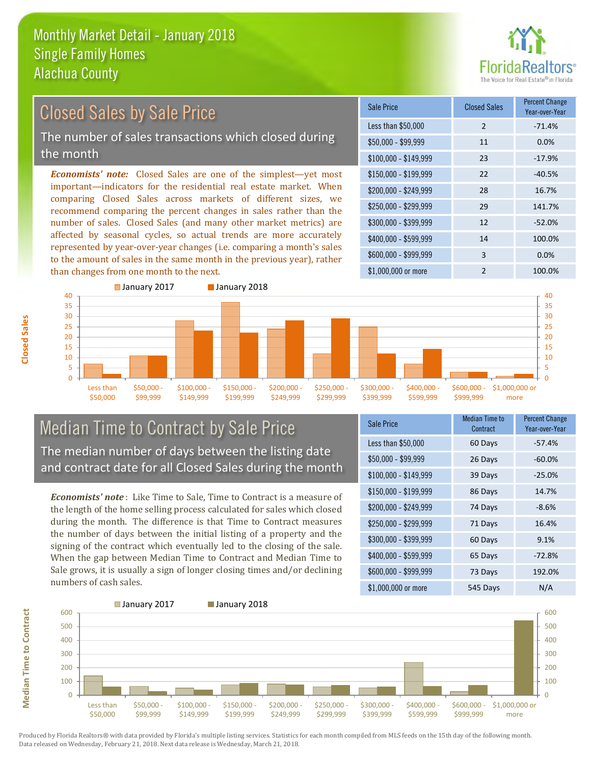

### Closed Sales by Sale Price

The number of sales transactions which closed during the month

*Economists' note:* Closed Sales are one of the simplest—yet most important—indicators for the residential real estate market. When comparing Closed Sales across markets of different sizes, we recommend comparing the percent changes in sales rather than the number of sales. Closed Sales (and many other market metrics) are affected by seasonal cycles, so actual trends are more accurately represented by year-over-year changes (i.e. comparing a month's sales to the amount of sales in the same month in the previous year), rather than changes from one month to the next.

| Sale Price            | <b>Closed Sales</b> | <b>Percent Change</b><br>Year-over-Year |
|-----------------------|---------------------|-----------------------------------------|
| Less than \$50,000    | 2                   | $-71.4%$                                |
| \$50,000 - \$99,999   | 11                  | 0.0%                                    |
| $$100,000 - $149,999$ | 23                  | $-17.9%$                                |
| \$150,000 - \$199,999 | 22                  | $-40.5%$                                |
| \$200,000 - \$249,999 | 28                  | 16.7%                                   |
| \$250,000 - \$299,999 | 29                  | 141.7%                                  |
| \$300,000 - \$399,999 | 12                  | $-52.0%$                                |
| \$400,000 - \$599,999 | 14                  | 100.0%                                  |
| \$600,000 - \$999,999 | 3                   | 0.0%                                    |
| \$1,000,000 or more   | $\mathfrak{p}$      | 100.0%                                  |



### Median Time to Contract by Sale Price The median number of days between the listing date and contract date for all Closed Sales during the month

*Economists' note* : Like Time to Sale, Time to Contract is a measure of the length of the home selling process calculated for sales which closed during the month. The difference is that Time to Contract measures the number of days between the initial listing of a property and the signing of the contract which eventually led to the closing of the sale. When the gap between Median Time to Contract and Median Time to Sale grows, it is usually a sign of longer closing times and/or declining numbers of cash sales.

| <b>Sale Price</b>     | <b>Median Time to</b><br>Contract | <b>Percent Change</b><br>Year-over-Year |
|-----------------------|-----------------------------------|-----------------------------------------|
| Less than \$50,000    | 60 Days                           | $-57.4%$                                |
| $$50,000 - $99,999$   | 26 Days                           | $-60.0%$                                |
| $$100,000 - $149,999$ | 39 Days                           | $-25.0%$                                |
| $$150,000 - $199,999$ | 86 Days                           | 14.7%                                   |
| \$200,000 - \$249,999 | 74 Days                           | $-8.6%$                                 |
| \$250,000 - \$299,999 | 71 Days                           | 16.4%                                   |
| \$300,000 - \$399,999 | 60 Days                           | 9.1%                                    |
| \$400,000 - \$599,999 | 65 Days                           | $-72.8%$                                |
| \$600,000 - \$999,999 | 73 Days                           | 192.0%                                  |
| \$1,000,000 or more   | 545 Days                          | N/A                                     |

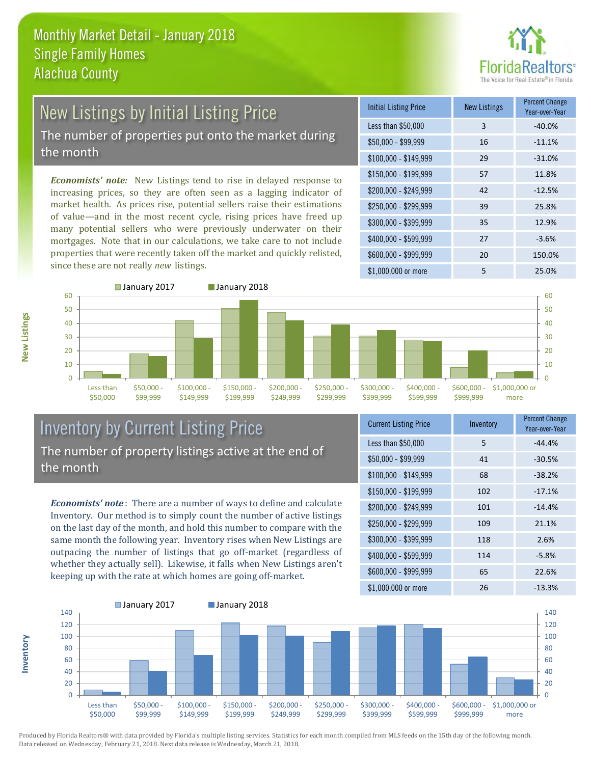

### New Listings by Initial Listing Price

The number of properties put onto the market during the month

*Economists' note:* New Listings tend to rise in delayed response to increasing prices, so they are often seen as a lagging indicator of market health. As prices rise, potential sellers raise their estimations of value—and in the most recent cycle, rising prices have freed up many potential sellers who were previously underwater on their mortgages. Note that in our calculations, we take care to not include properties that were recently taken off the market and quickly relisted, since these are not really *new* listings.

| <b>Initial Listing Price</b> | <b>New Listings</b> | <b>Percent Change</b><br>Year-over-Year |
|------------------------------|---------------------|-----------------------------------------|
| Less than \$50,000           | 3                   | $-40.0%$                                |
| $$50,000 - $99,999$          | 16                  | $-11.1%$                                |
| $$100,000 - $149,999$        | 29                  | $-31.0%$                                |
| $$150,000 - $199,999$        | 57                  | 11.8%                                   |
| \$200,000 - \$249,999        | 42                  | $-12.5%$                                |
| \$250,000 - \$299,999        | 39                  | 25.8%                                   |
| \$300,000 - \$399,999        | 35                  | 12.9%                                   |
| \$400,000 - \$599,999        | 27                  | $-3.6%$                                 |
| \$600,000 - \$999,999        | 20                  | 150.0%                                  |
| \$1,000,000 or more          | 5                   | 25.0%                                   |



### Inventory by Current Listing Price The number of property listings active at the end of the month

*Economists' note* : There are a number of ways to define and calculate Inventory. Our method is to simply count the number of active listings on the last day of the month, and hold this number to compare with the same month the following year. Inventory rises when New Listings are outpacing the number of listings that go off-market (regardless of whether they actually sell). Likewise, it falls when New Listings aren't keeping up with the rate at which homes are going off-market.

| <b>Current Listing Price</b> | Inventory | <b>Percent Change</b><br>Year-over-Year |
|------------------------------|-----------|-----------------------------------------|
| Less than \$50,000           | 5         | $-44.4%$                                |
| $$50,000 - $99,999$          | 41        | $-30.5%$                                |
| $$100,000 - $149,999$        | 68        | $-38.2%$                                |
| $$150,000 - $199,999$        | 102       | $-17.1%$                                |
| \$200,000 - \$249,999        | 101       | $-14.4%$                                |
| \$250,000 - \$299,999        | 109       | 21.1%                                   |
| \$300,000 - \$399,999        | 118       | 2.6%                                    |
| \$400,000 - \$599,999        | 114       | $-5.8%$                                 |
| \$600,000 - \$999,999        | 65        | 22.6%                                   |
| \$1,000,000 or more          | 26        | $-13.3%$                                |



Produced by Florida Realtors® with data provided by Florida's multiple listing services. Statistics for each month compiled from MLS feeds on the 15th day of the following month. Data released on Wednesday, February 21, 2018. Next data release is Wednesday, March 21, 2018.

**Inventory**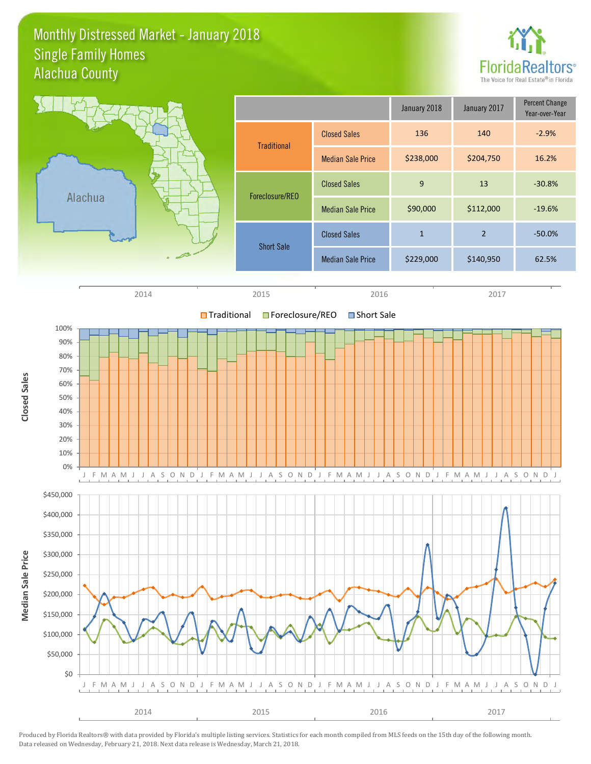### Monthly Distressed Market - January 2018 Alachua County Single Family Homes



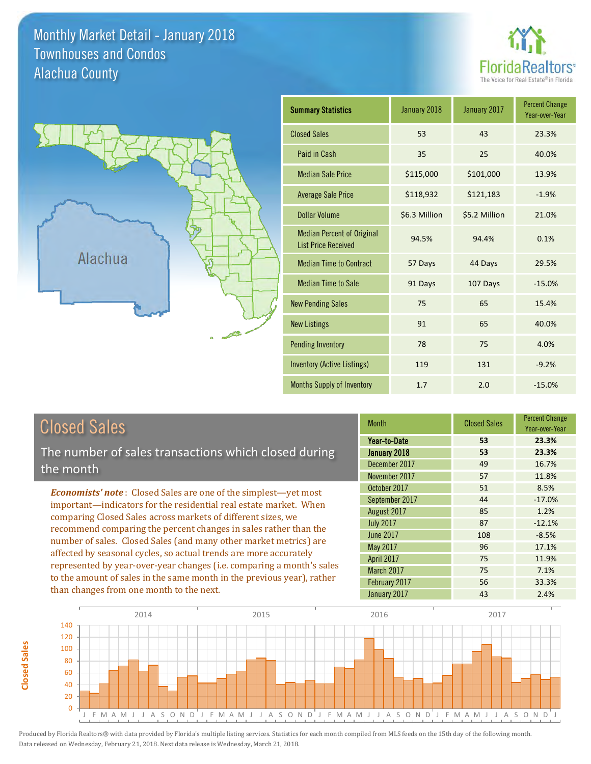### Monthly Market Detail - January 2018 Alachua County Townhouses and Condos





| <b>Summary Statistics</b>                                       | January 2018  | January 2017  | <b>Percent Change</b><br>Year-over-Year |
|-----------------------------------------------------------------|---------------|---------------|-----------------------------------------|
| <b>Closed Sales</b>                                             | 53            | 43            | 23.3%                                   |
| Paid in Cash                                                    | 35            | 25            | 40.0%                                   |
| <b>Median Sale Price</b>                                        | \$115,000     | \$101,000     | 13.9%                                   |
| <b>Average Sale Price</b>                                       | \$118,932     | \$121,183     | $-1.9%$                                 |
| <b>Dollar Volume</b>                                            | \$6.3 Million | \$5.2 Million | 21.0%                                   |
| <b>Median Percent of Original</b><br><b>List Price Received</b> | 94.5%         | 94.4%         | 0.1%                                    |
| <b>Median Time to Contract</b>                                  | 57 Days       | 44 Days       | 29.5%                                   |
| <b>Median Time to Sale</b>                                      | 91 Days       | 107 Days      | $-15.0%$                                |
| <b>New Pending Sales</b>                                        | 75            | 65            | 15.4%                                   |
| <b>New Listings</b>                                             | 91            | 65            | 40.0%                                   |
| <b>Pending Inventory</b>                                        | 78            | 75            | 4.0%                                    |
| <b>Inventory (Active Listings)</b>                              | 119           | 131           | $-9.2%$                                 |
| <b>Months Supply of Inventory</b>                               | 1.7           | 2.0           | $-15.0%$                                |

**Closed Sales**

**Closed Sales** 

The number of sales transactions which closed during the month

*Economists' note* : Closed Sales are one of the simplest—yet most important—indicators for the residential real estate market. When comparing Closed Sales across markets of different sizes, we recommend comparing the percent changes in sales rather than the number of sales. Closed Sales (and many other market metrics) are affected by seasonal cycles, so actual trends are more accurately represented by year-over-year changes (i.e. comparing a month's sales to the amount of sales in the same month in the previous year), rather than changes from one month to the next.

| <b>Month</b>     | <b>Closed Sales</b> | <b>Percent Change</b><br>Year-over-Year |
|------------------|---------------------|-----------------------------------------|
| Year-to-Date     | 53                  | 23.3%                                   |
| January 2018     | 53                  | 23.3%                                   |
| December 2017    | 49                  | 16.7%                                   |
| November 2017    | 57                  | 11.8%                                   |
| October 2017     | 51                  | 8.5%                                    |
| September 2017   | 44                  | $-17.0%$                                |
| August 2017      | 85                  | 1.2%                                    |
| <b>July 2017</b> | 87                  | $-12.1%$                                |
| <b>June 2017</b> | 108                 | $-8.5%$                                 |
| May 2017         | 96                  | 17.1%                                   |
| April 2017       | 75                  | 11.9%                                   |
| March 2017       | 75                  | 7.1%                                    |
| February 2017    | 56                  | 33.3%                                   |
| January 2017     | 43                  | 2.4%                                    |

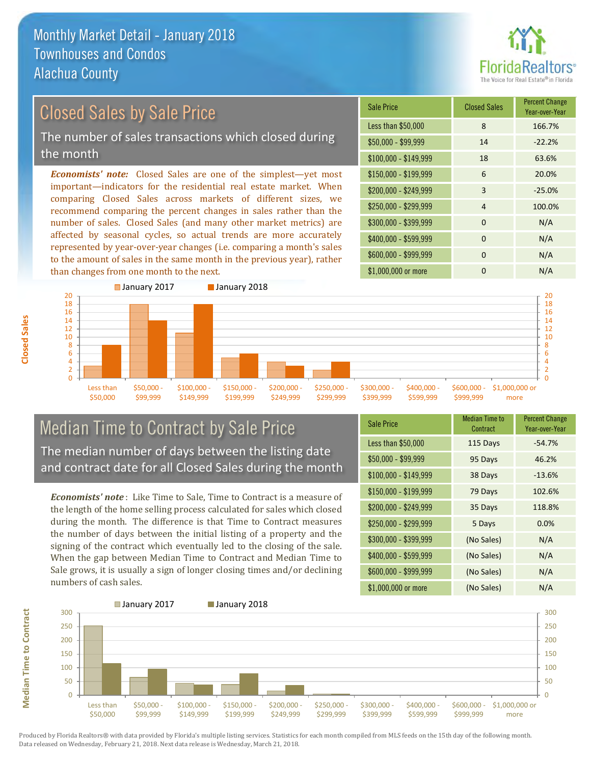

#### \$100,000 - \$149,999 18 63.6% Sale Price Closed Sales Percent Change Year-over-Year Less than \$50,000 8 166.7% \$50,000 - \$99,999 14 -22.2% \$150,000 - \$199,999 6 20.0% \$200,000 - \$249,999 3 -25.0% *Economists' note:* Closed Sales are one of the simplest—yet most important—indicators for the residential real estate market. When comparing Closed Sales across markets of different sizes, we recommend comparing the percent changes in sales rather than the \$250,000 - \$299,999 4 100.0%  $$300,000 - $399,999$  0 N/A Closed Sales by Sale Price The number of sales transactions which closed during the month

number of sales. Closed Sales (and many other market metrics) are affected by seasonal cycles, so actual trends are more accurately represented by year-over-year changes (i.e. comparing a month's sales to the amount of sales in the same month in the previous year), rather than changes from one month to the next.



### Median Time to Contract by Sale Price The median number of days between the listing date and contract date for all Closed Sales during the month

*Economists' note* : Like Time to Sale, Time to Contract is a measure of the length of the home selling process calculated for sales which closed during the month. The difference is that Time to Contract measures the number of days between the initial listing of a property and the signing of the contract which eventually led to the closing of the sale. When the gap between Median Time to Contract and Median Time to Sale grows, it is usually a sign of longer closing times and/or declining numbers of cash sales.

| <b>Sale Price</b>     | <b>Median Time to</b><br>Contract | <b>Percent Change</b><br>Year-over-Year |
|-----------------------|-----------------------------------|-----------------------------------------|
| Less than \$50,000    | 115 Days                          | $-54.7%$                                |
| $$50,000 - $99,999$   | 95 Days                           | 46.2%                                   |
| $$100,000 - $149,999$ | 38 Days                           | $-13.6%$                                |
| $$150,000 - $199,999$ | 79 Days                           | 102.6%                                  |
| \$200,000 - \$249,999 | 35 Days                           | 118.8%                                  |
| \$250,000 - \$299,999 | 5 Days                            | 0.0%                                    |
| \$300,000 - \$399,999 | (No Sales)                        | N/A                                     |
| \$400,000 - \$599,999 | (No Sales)                        | N/A                                     |
| \$600,000 - \$999,999 | (No Sales)                        | N/A                                     |
| \$1,000,000 or more   | (No Sales)                        | N/A                                     |

\$400,000 - \$599,999 0 0 N/A \$600,000 - \$999,999 0 N/A

\$1,000,000 or more 0 0 N/A

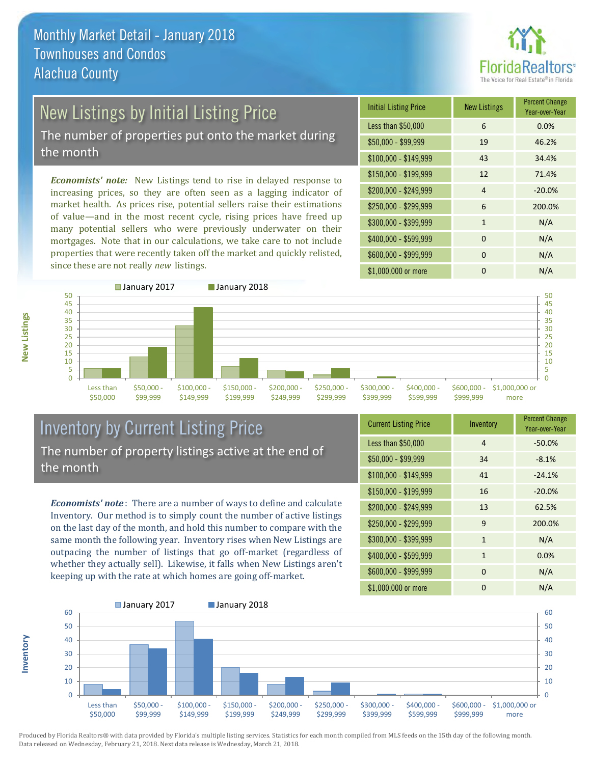

### New Listings by Initial Listing Price

The number of properties put onto the market during the month

*Economists' note:* New Listings tend to rise in delayed response to increasing prices, so they are often seen as a lagging indicator of market health. As prices rise, potential sellers raise their estimations of value—and in the most recent cycle, rising prices have freed up many potential sellers who were previously underwater on their mortgages. Note that in our calculations, we take care to not include properties that were recently taken off the market and quickly relisted, since these are not really *new* listings.

| <b>Initial Listing Price</b> | <b>New Listings</b> | <b>Percent Change</b><br>Year-over-Year |
|------------------------------|---------------------|-----------------------------------------|
| Less than \$50,000           | 6                   | 0.0%                                    |
| $$50,000 - $99,999$          | 19                  | 46.2%                                   |
| $$100,000 - $149,999$        | 43                  | 34.4%                                   |
| $$150,000 - $199,999$        | 12                  | 71.4%                                   |
| \$200,000 - \$249,999        | $\overline{4}$      | $-20.0%$                                |
| \$250,000 - \$299,999        | 6                   | 200.0%                                  |
| \$300,000 - \$399,999        | $\mathbf{1}$        | N/A                                     |
| \$400,000 - \$599,999        | $\Omega$            | N/A                                     |
| \$600,000 - \$999,999        | $\Omega$            | N/A                                     |
| \$1,000,000 or more          | 0                   | N/A                                     |



### Inventory by Current Listing Price The number of property listings active at the end of the month

*Economists' note* : There are a number of ways to define and calculate Inventory. Our method is to simply count the number of active listings on the last day of the month, and hold this number to compare with the same month the following year. Inventory rises when New Listings are outpacing the number of listings that go off-market (regardless of whether they actually sell). Likewise, it falls when New Listings aren't keeping up with the rate at which homes are going off-market.

| <b>Current Listing Price</b> | Inventory    | <b>Percent Change</b><br>Year-over-Year |
|------------------------------|--------------|-----------------------------------------|
| Less than \$50,000           | 4            | $-50.0%$                                |
| $$50,000 - $99,999$          | 34           | $-8.1%$                                 |
| $$100,000 - $149,999$        | 41           | $-24.1%$                                |
| $$150,000 - $199,999$        | 16           | $-20.0%$                                |
| \$200,000 - \$249,999        | 13           | 62.5%                                   |
| \$250,000 - \$299,999        | 9            | 200.0%                                  |
| \$300,000 - \$399,999        | $\mathbf{1}$ | N/A                                     |
| \$400,000 - \$599,999        | $\mathbf{1}$ | 0.0%                                    |
| \$600,000 - \$999,999        | $\Omega$     | N/A                                     |
| \$1,000,000 or more          | $\Omega$     | N/A                                     |



Produced by Florida Realtors® with data provided by Florida's multiple listing services. Statistics for each month compiled from MLS feeds on the 15th day of the following month. Data released on Wednesday, February 21, 2018. Next data release is Wednesday, March 21, 2018.

**Inventory**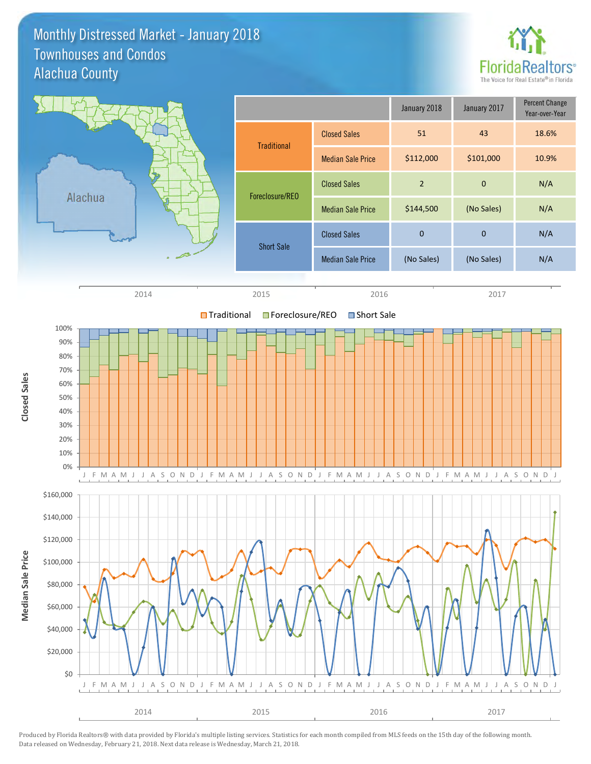### Monthly Distressed Market - January 2018 Alachua County Townhouses and Condos



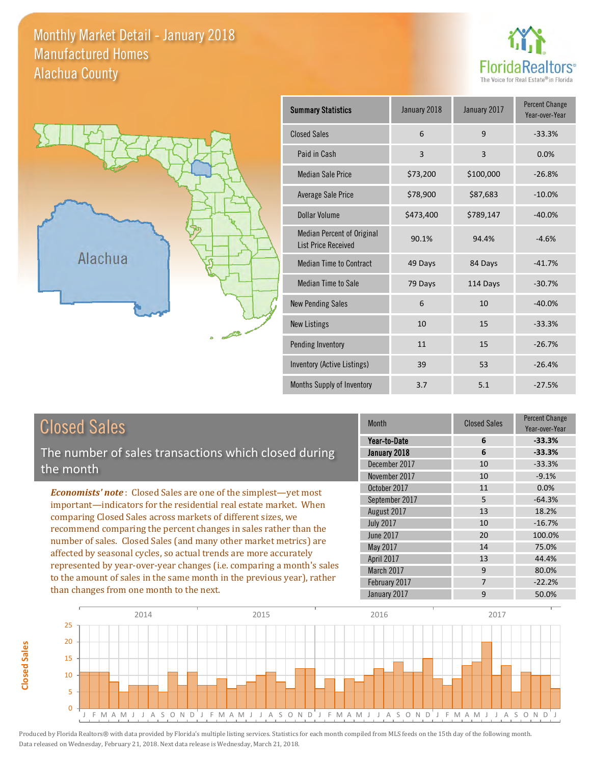#### Monthly Market Detail - January 2018 Alachua County Manufactured Homes





| <b>Summary Statistics</b>                                       | January 2018 | January 2017   | <b>Percent Change</b><br>Year-over-Year |
|-----------------------------------------------------------------|--------------|----------------|-----------------------------------------|
| <b>Closed Sales</b>                                             | 6            | 9              | $-33.3%$                                |
| Paid in Cash                                                    | 3            | $\overline{3}$ | 0.0%                                    |
| <b>Median Sale Price</b>                                        | \$73,200     | \$100,000      | $-26.8%$                                |
| Average Sale Price                                              | \$78,900     | \$87,683       | $-10.0%$                                |
| Dollar Volume                                                   | \$473,400    | \$789,147      | $-40.0%$                                |
| <b>Median Percent of Original</b><br><b>List Price Received</b> | 90.1%        | 94.4%          | $-4.6%$                                 |
| <b>Median Time to Contract</b>                                  | 49 Days      | 84 Days        | $-41.7%$                                |
| <b>Median Time to Sale</b>                                      | 79 Days      | 114 Days       | $-30.7%$                                |
| <b>New Pending Sales</b>                                        | 6            | 10             | $-40.0%$                                |
| <b>New Listings</b>                                             | 10           | 15             | $-33.3%$                                |
| <b>Pending Inventory</b>                                        | 11           | 15             | $-26.7%$                                |
| Inventory (Active Listings)                                     | 39           | 53             | $-26.4%$                                |
| Months Supply of Inventory                                      | 3.7          | 5.1            | $-27.5%$                                |

|  | <b>Closed Sales</b> |
|--|---------------------|
|  |                     |

**Closed Sales**

**Closed Sales** 

The number of sales transactions which closed during the month

*Economists' note* : Closed Sales are one of the simplest—yet most important—indicators for the residential real estate market. When comparing Closed Sales across markets of different sizes, we recommend comparing the percent changes in sales rather than the number of sales. Closed Sales (and many other market metrics) are affected by seasonal cycles, so actual trends are more accurately represented by year-over-year changes (i.e. comparing a month's sales to the amount of sales in the same month in the previous year), rather than changes from one month to the next.

| <b>Month</b>     | <b>Closed Sales</b> | Percent Change<br>Year-over-Year |
|------------------|---------------------|----------------------------------|
| Year-to-Date     | 6                   | $-33.3%$                         |
| January 2018     | 6                   | $-33.3%$                         |
| December 2017    | 10                  | $-33.3%$                         |
| November 2017    | 10                  | $-9.1%$                          |
| October 2017     | 11                  | 0.0%                             |
| September 2017   | 5                   | $-64.3%$                         |
| August 2017      | 13                  | 18.2%                            |
| <b>July 2017</b> | 10                  | $-16.7%$                         |
| <b>June 2017</b> | 20                  | 100.0%                           |
| May 2017         | 14                  | 75.0%                            |
| April 2017       | 13                  | 44.4%                            |
| March 2017       | 9                   | 80.0%                            |
| February 2017    | 7                   | $-22.2%$                         |
| January 2017     | 9                   | 50.0%                            |

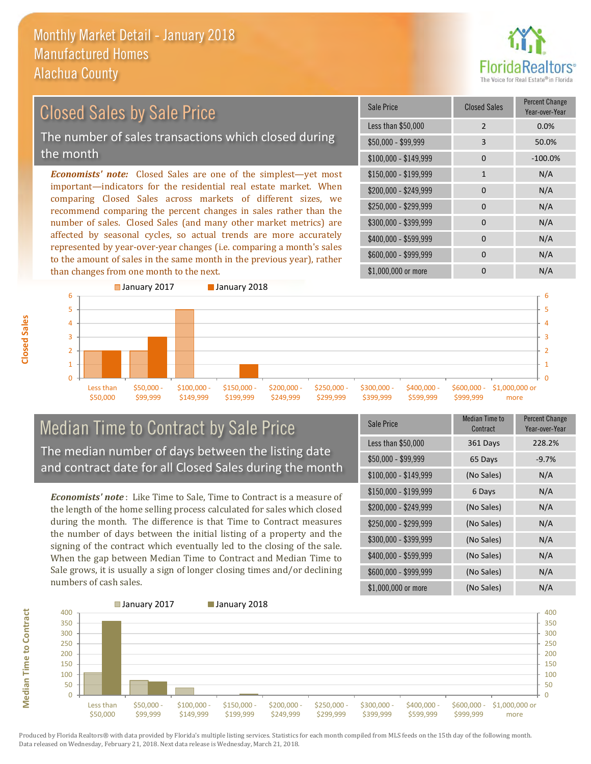

# Closed Sales by Sale Price

The number of sales transactions which closed during the month

*Economists' note:* Closed Sales are one of the simplest—yet most important—indicators for the residential real estate market. When comparing Closed Sales across markets of different sizes, we recommend comparing the percent changes in sales rather than the number of sales. Closed Sales (and many other market metrics) are affected by seasonal cycles, so actual trends are more accurately represented by year-over-year changes (i.e. comparing a month's sales to the amount of sales in the same month in the previous year), rather than changes from one month to the next.

| Sale Price            | <b>Closed Sales</b> | <b>Percent Change</b><br>Year-over-Year |
|-----------------------|---------------------|-----------------------------------------|
| Less than \$50,000    | 2                   | 0.0%                                    |
| $$50,000 - $99,999$   | 3                   | 50.0%                                   |
| $$100,000 - $149,999$ | 0                   | $-100.0%$                               |
| \$150,000 - \$199,999 | $\mathbf{1}$        | N/A                                     |
| \$200,000 - \$249,999 | $\Omega$            | N/A                                     |
| \$250,000 - \$299,999 | 0                   | N/A                                     |
| \$300,000 - \$399,999 | $\Omega$            | N/A                                     |
| \$400,000 - \$599,999 | $\Omega$            | N/A                                     |
| \$600,000 - \$999,999 | $\Omega$            | N/A                                     |
| \$1,000,000 or more   | O                   | N/A                                     |



### Median Time to Contract by Sale Price The median number of days between the listing date and contract date for all Closed Sales during the month

*Economists' note* : Like Time to Sale, Time to Contract is a measure of the length of the home selling process calculated for sales which closed during the month. The difference is that Time to Contract measures the number of days between the initial listing of a property and the signing of the contract which eventually led to the closing of the sale. When the gap between Median Time to Contract and Median Time to Sale grows, it is usually a sign of longer closing times and/or declining numbers of cash sales.

| Sale Price            | <b>Median Time to</b><br>Contract | <b>Percent Change</b><br>Year-over-Year |
|-----------------------|-----------------------------------|-----------------------------------------|
| Less than \$50,000    | 361 Days                          | 228.2%                                  |
| \$50,000 - \$99,999   | 65 Days                           | $-9.7%$                                 |
| $$100,000 - $149,999$ | (No Sales)                        | N/A                                     |
| \$150,000 - \$199,999 | 6 Days                            | N/A                                     |
| \$200,000 - \$249,999 | (No Sales)                        | N/A                                     |
| \$250,000 - \$299,999 | (No Sales)                        | N/A                                     |
| \$300,000 - \$399,999 | (No Sales)                        | N/A                                     |
| \$400,000 - \$599,999 | (No Sales)                        | N/A                                     |
| \$600,000 - \$999,999 | (No Sales)                        | N/A                                     |
| \$1,000,000 or more   | (No Sales)                        | N/A                                     |



**Median Time to Contract** 

**Closed Sales**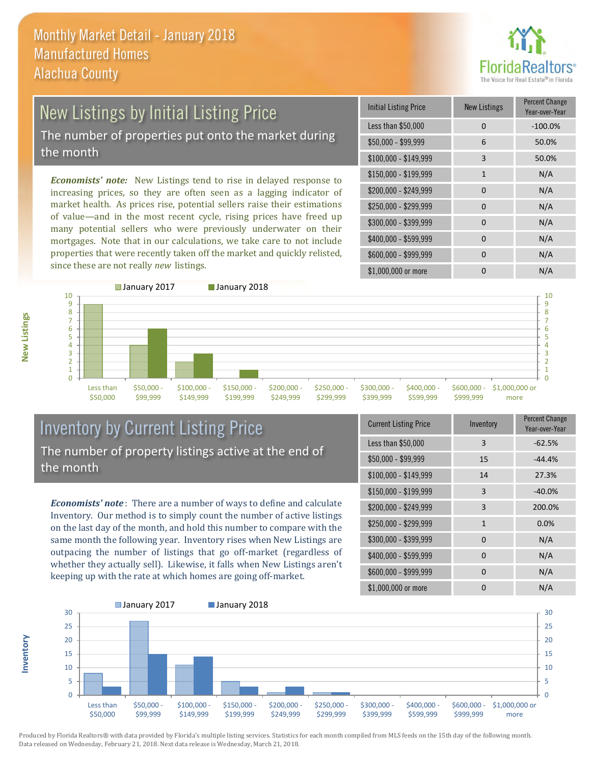

## New Listings by Initial Listing Price

The number of properties put onto the market during the month

*Economists' note:* New Listings tend to rise in delayed response to increasing prices, so they are often seen as a lagging indicator of market health. As prices rise, potential sellers raise their estimations of value—and in the most recent cycle, rising prices have freed up many potential sellers who were previously underwater on their mortgages. Note that in our calculations, we take care to not include properties that were recently taken off the market and quickly relisted, since these are not really *new* listings.

| <b>Initial Listing Price</b> | <b>New Listings</b> | <b>Percent Change</b><br>Year-over-Year |
|------------------------------|---------------------|-----------------------------------------|
| Less than \$50,000           | 0                   | $-100.0%$                               |
| $$50,000 - $99,999$          | 6                   | 50.0%                                   |
| $$100,000 - $149,999$        | 3                   | 50.0%                                   |
| \$150,000 - \$199,999        | $\mathbf{1}$        | N/A                                     |
| \$200,000 - \$249,999        | $\Omega$            | N/A                                     |
| \$250,000 - \$299,999        | 0                   | N/A                                     |
| \$300,000 - \$399,999        | 0                   | N/A                                     |
| \$400,000 - \$599,999        | $\Omega$            | N/A                                     |
| \$600,000 - \$999,999        | <sup>0</sup>        | N/A                                     |
| \$1,000,000 or more          | n                   | N/A                                     |



### Inventory by Current Listing Price The number of property listings active at the end of the month

*Economists' note* : There are a number of ways to define and calculate Inventory. Our method is to simply count the number of active listings on the last day of the month, and hold this number to compare with the same month the following year. Inventory rises when New Listings are outpacing the number of listings that go off-market (regardless of whether they actually sell). Likewise, it falls when New Listings aren't keeping up with the rate at which homes are going off-market.

| <b>Current Listing Price</b> | Inventory | Percent Change<br>Year-over-Year |
|------------------------------|-----------|----------------------------------|
| Less than \$50,000           | 3         | $-62.5%$                         |
| $$50,000 - $99,999$          | 15        | $-44.4%$                         |
| $$100,000 - $149,999$        | 14        | 27.3%                            |
| $$150,000 - $199,999$        | 3         | $-40.0%$                         |
| \$200,000 - \$249,999        | 3         | 200.0%                           |
| \$250,000 - \$299,999        | 1         | 0.0%                             |
| \$300,000 - \$399,999        | 0         | N/A                              |
| \$400,000 - \$599,999        | 0         | N/A                              |
| \$600,000 - \$999,999        | 0         | N/A                              |
| \$1,000,000 or more          | 0         | N/A                              |



Produced by Florida Realtors® with data provided by Florida's multiple listing services. Statistics for each month compiled from MLS feeds on the 15th day of the following month. Data released on Wednesday, February 21, 2018. Next data release is Wednesday, March 21, 2018.

**Inventory**